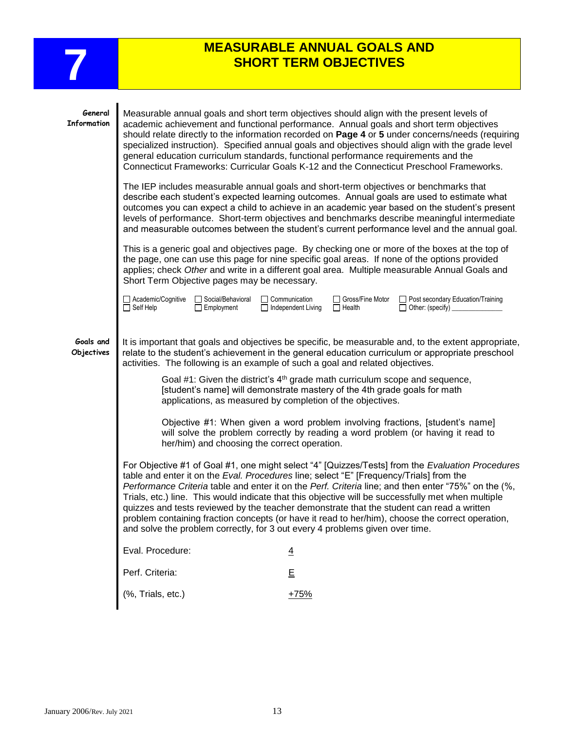

## **MEASURABLE ANNUAL GOALS AND SHORT TERM OBJECTIVES SHORT TERM OBJECTIVES**

| General<br>Information  | Measurable annual goals and short term objectives should align with the present levels of<br>academic achievement and functional performance. Annual goals and short term objectives<br>should relate directly to the information recorded on Page 4 or 5 under concerns/needs (requiring<br>specialized instruction). Specified annual goals and objectives should align with the grade level<br>general education curriculum standards, functional performance requirements and the<br>Connecticut Frameworks: Curricular Goals K-12 and the Connecticut Preschool Frameworks.<br>The IEP includes measurable annual goals and short-term objectives or benchmarks that<br>describe each student's expected learning outcomes. Annual goals are used to estimate what |                                                                                                                                                           |  |  |  |  |
|-------------------------|-------------------------------------------------------------------------------------------------------------------------------------------------------------------------------------------------------------------------------------------------------------------------------------------------------------------------------------------------------------------------------------------------------------------------------------------------------------------------------------------------------------------------------------------------------------------------------------------------------------------------------------------------------------------------------------------------------------------------------------------------------------------------|-----------------------------------------------------------------------------------------------------------------------------------------------------------|--|--|--|--|
|                         | outcomes you can expect a child to achieve in an academic year based on the student's present<br>levels of performance. Short-term objectives and benchmarks describe meaningful intermediate<br>and measurable outcomes between the student's current performance level and the annual goal.                                                                                                                                                                                                                                                                                                                                                                                                                                                                           |                                                                                                                                                           |  |  |  |  |
|                         | This is a generic goal and objectives page. By checking one or more of the boxes at the top of<br>the page, one can use this page for nine specific goal areas. If none of the options provided<br>applies; check Other and write in a different goal area. Multiple measurable Annual Goals and<br>Short Term Objective pages may be necessary.                                                                                                                                                                                                                                                                                                                                                                                                                        |                                                                                                                                                           |  |  |  |  |
|                         | Academic/Cognitive<br>Social/Behavioral<br>$\Box$ Self Help<br>$\Box$ Employment                                                                                                                                                                                                                                                                                                                                                                                                                                                                                                                                                                                                                                                                                        | $\Box$ Communication<br>□ Gross/Fine Motor<br>Post secondary Education/Training<br>Other: (specify) ____________<br>□ Independent Living<br>$\Box$ Health |  |  |  |  |
| Goals and<br>Objectives | It is important that goals and objectives be specific, be measurable and, to the extent appropriate,<br>relate to the student's achievement in the general education curriculum or appropriate preschool<br>activities. The following is an example of such a goal and related objectives.                                                                                                                                                                                                                                                                                                                                                                                                                                                                              |                                                                                                                                                           |  |  |  |  |
|                         | Goal #1: Given the district's $4th$ grade math curriculum scope and sequence,<br>[student's name] will demonstrate mastery of the 4th grade goals for math<br>applications, as measured by completion of the objectives.                                                                                                                                                                                                                                                                                                                                                                                                                                                                                                                                                |                                                                                                                                                           |  |  |  |  |
|                         | Objective #1: When given a word problem involving fractions, [student's name]<br>will solve the problem correctly by reading a word problem (or having it read to<br>her/him) and choosing the correct operation.                                                                                                                                                                                                                                                                                                                                                                                                                                                                                                                                                       |                                                                                                                                                           |  |  |  |  |
|                         | For Objective #1 of Goal #1, one might select "4" [Quizzes/Tests] from the Evaluation Procedures<br>table and enter it on the Eval. Procedures line; select "E" [Frequency/Trials] from the<br>Performance Criteria table and enter it on the Perf. Criteria line; and then enter "75%" on the (%,<br>Trials, etc.) line. This would indicate that this objective will be successfully met when multiple<br>quizzes and tests reviewed by the teacher demonstrate that the student can read a written<br>problem containing fraction concepts (or have it read to her/him), choose the correct operation,<br>and solve the problem correctly, for 3 out every 4 problems given over time.                                                                               |                                                                                                                                                           |  |  |  |  |
|                         | Eval. Procedure:                                                                                                                                                                                                                                                                                                                                                                                                                                                                                                                                                                                                                                                                                                                                                        | $\overline{4}$                                                                                                                                            |  |  |  |  |
|                         | Perf. Criteria:                                                                                                                                                                                                                                                                                                                                                                                                                                                                                                                                                                                                                                                                                                                                                         | E                                                                                                                                                         |  |  |  |  |
|                         | (%, Trials, etc.)                                                                                                                                                                                                                                                                                                                                                                                                                                                                                                                                                                                                                                                                                                                                                       | $+75%$                                                                                                                                                    |  |  |  |  |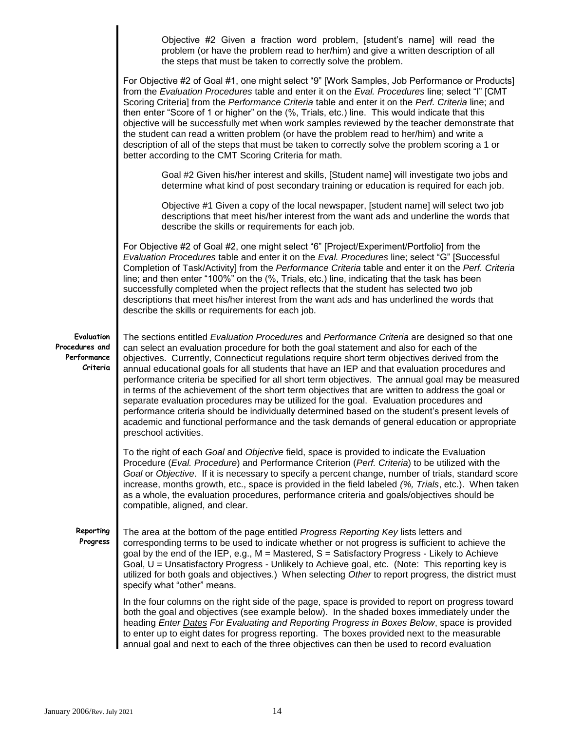|                                                         | Objective #2 Given a fraction word problem, [student's name] will read the<br>problem (or have the problem read to her/him) and give a written description of all<br>the steps that must be taken to correctly solve the problem.                                                                                                                                                                                                                                                                                                                                                                                                                                                                                                                                                                                                                                                                                        |  |  |  |
|---------------------------------------------------------|--------------------------------------------------------------------------------------------------------------------------------------------------------------------------------------------------------------------------------------------------------------------------------------------------------------------------------------------------------------------------------------------------------------------------------------------------------------------------------------------------------------------------------------------------------------------------------------------------------------------------------------------------------------------------------------------------------------------------------------------------------------------------------------------------------------------------------------------------------------------------------------------------------------------------|--|--|--|
|                                                         | For Objective #2 of Goal #1, one might select "9" [Work Samples, Job Performance or Products]<br>from the Evaluation Procedures table and enter it on the Eval. Procedures line; select "I" [CMT<br>Scoring Criteria] from the Performance Criteria table and enter it on the Perf. Criteria line; and<br>then enter "Score of 1 or higher" on the (%, Trials, etc.) line. This would indicate that this<br>objective will be successfully met when work samples reviewed by the teacher demonstrate that<br>the student can read a written problem (or have the problem read to her/him) and write a<br>description of all of the steps that must be taken to correctly solve the problem scoring a 1 or<br>better according to the CMT Scoring Criteria for math.                                                                                                                                                      |  |  |  |
|                                                         | Goal #2 Given his/her interest and skills, [Student name] will investigate two jobs and<br>determine what kind of post secondary training or education is required for each job.                                                                                                                                                                                                                                                                                                                                                                                                                                                                                                                                                                                                                                                                                                                                         |  |  |  |
|                                                         | Objective #1 Given a copy of the local newspaper, [student name] will select two job<br>descriptions that meet his/her interest from the want ads and underline the words that<br>describe the skills or requirements for each job.                                                                                                                                                                                                                                                                                                                                                                                                                                                                                                                                                                                                                                                                                      |  |  |  |
|                                                         | For Objective #2 of Goal #2, one might select "6" [Project/Experiment/Portfolio] from the<br>Evaluation Procedures table and enter it on the Eval. Procedures line; select "G" [Successful<br>Completion of Task/Activity] from the Performance Criteria table and enter it on the Perf. Criteria<br>line; and then enter "100%" on the (%, Trials, etc.) line, indicating that the task has been<br>successfully completed when the project reflects that the student has selected two job<br>descriptions that meet his/her interest from the want ads and has underlined the words that<br>describe the skills or requirements for each job.                                                                                                                                                                                                                                                                          |  |  |  |
| Evaluation<br>Procedures and<br>Performance<br>Criteria | The sections entitled Evaluation Procedures and Performance Criteria are designed so that one<br>can select an evaluation procedure for both the goal statement and also for each of the<br>objectives. Currently, Connecticut regulations require short term objectives derived from the<br>annual educational goals for all students that have an IEP and that evaluation procedures and<br>performance criteria be specified for all short term objectives. The annual goal may be measured<br>in terms of the achievement of the short term objectives that are written to address the goal or<br>separate evaluation procedures may be utilized for the goal. Evaluation procedures and<br>performance criteria should be individually determined based on the student's present levels of<br>academic and functional performance and the task demands of general education or appropriate<br>preschool activities. |  |  |  |
|                                                         | To the right of each Goal and Objective field, space is provided to indicate the Evaluation<br>Procedure (Eval. Procedure) and Performance Criterion (Perf. Criteria) to be utilized with the<br>Goal or Objective. If it is necessary to specify a percent change, number of trials, standard score<br>increase, months growth, etc., space is provided in the field labeled (%, Trials, etc.). When taken<br>as a whole, the evaluation procedures, performance criteria and goals/objectives should be<br>compatible, aligned, and clear.                                                                                                                                                                                                                                                                                                                                                                             |  |  |  |
| Reporting<br>Progress                                   | The area at the bottom of the page entitled Progress Reporting Key lists letters and<br>corresponding terms to be used to indicate whether or not progress is sufficient to achieve the<br>goal by the end of the IEP, e.g., M = Mastered, S = Satisfactory Progress - Likely to Achieve<br>Goal, U = Unsatisfactory Progress - Unlikely to Achieve goal, etc. (Note: This reporting key is<br>utilized for both goals and objectives.) When selecting Other to report progress, the district must<br>specify what "other" means.                                                                                                                                                                                                                                                                                                                                                                                        |  |  |  |
|                                                         | In the four columns on the right side of the page, space is provided to report on progress toward<br>both the goal and objectives (see example below). In the shaded boxes immediately under the<br>heading Enter Dates For Evaluating and Reporting Progress in Boxes Below, space is provided<br>to enter up to eight dates for progress reporting. The boxes provided next to the measurable<br>annual goal and next to each of the three objectives can then be used to record evaluation                                                                                                                                                                                                                                                                                                                                                                                                                            |  |  |  |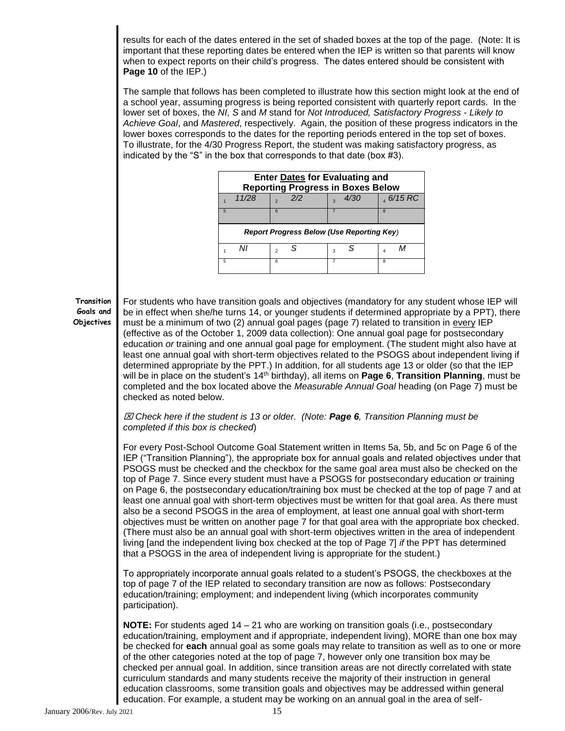results for each of the dates entered in the set of shaded boxes at the top of the page. (Note: It is important that these reporting dates be entered when the IEP is written so that parents will know when to expect reports on their child's progress. The dates entered should be consistent with **Page 10** of the IEP.)

The sample that follows has been completed to illustrate how this section might look at the end of a school year, assuming progress is being reported consistent with quarterly report cards. In the lower set of boxes, the *NI*, *S* and *M* stand for *Not Introduced, Satisfactory Progress* - *Likely to Achieve Goal*, and *Mastered*, respectively. Again, the position of these progress indicators in the lower boxes corresponds to the dates for the reporting periods entered in the top set of boxes. To illustrate, for the 4/30 Progress Report, the student was making satisfactory progress, as indicated by the "S" in the box that corresponds to that date (box #3).

| <b>Enter Dates for Evaluating and</b><br><b>Reporting Progress in Boxes Below</b> |       |                      |                                   |              |  |  |
|-----------------------------------------------------------------------------------|-------|----------------------|-----------------------------------|--------------|--|--|
|                                                                                   | 11/28 | 2/2<br>$\mathcal{L}$ | <i>4/30</i><br>$\mathbf{\hat{z}}$ | $, 6/15$ RC  |  |  |
| 5                                                                                 |       | 6                    |                                   | $\mathbf{8}$ |  |  |
| <b>Report Progress Below (Use Reporting Key)</b>                                  |       |                      |                                   |              |  |  |
|                                                                                   | Nı    | S<br>$\mathfrak{p}$  | з                                 | 4            |  |  |
| 5                                                                                 |       | 6                    |                                   | 8            |  |  |

## **Transition Goals and Objectives**

For students who have transition goals and objectives (mandatory for any student whose IEP will be in effect when she/he turns 14, or younger students if determined appropriate by a PPT), there must be a minimum of two (2) annual goal pages (page 7) related to transition in every IEP (effective as of the October 1, 2009 data collection): One annual goal page for postsecondary education *or* training and one annual goal page for employment. (The student might also have at least one annual goal with short-term objectives related to the PSOGS about independent living if determined appropriate by the PPT.) In addition, for all students age 13 or older (so that the IEP will be in place on the student's 14<sup>th</sup> birthday), all items on Page 6, Transition Planning, must be completed and the box located above the *Measurable Annual Goal* heading (on Page 7) must be checked as noted below.

## *Check here if the student is 13 or older. (Note: Page 6, Transition Planning must be completed if this box is checked*)

For every Post-School Outcome Goal Statement written in Items 5a, 5b, and 5c on Page 6 of the IEP ("Transition Planning"), the appropriate box for annual goals and related objectives under that PSOGS must be checked and the checkbox for the same goal area must also be checked on the top of Page 7. Since every student must have a PSOGS for postsecondary education *or* training on Page 6, the postsecondary education/training box must be checked at the top of page 7 and at least one annual goal with short-term objectives must be written for that goal area. As there must also be a second PSOGS in the area of employment, at least one annual goal with short-term objectives must be written on another page 7 for that goal area with the appropriate box checked. (There must also be an annual goal with short-term objectives written in the area of independent living [and the independent living box checked at the top of Page 7] *if* the PPT has determined that a PSOGS in the area of independent living is appropriate for the student.)

To appropriately incorporate annual goals related to a student's PSOGS, the checkboxes at the top of page 7 of the IEP related to secondary transition are now as follows: Postsecondary education/training; employment; and independent living (which incorporates community participation).

**NOTE:** For students aged 14 – 21 who are working on transition goals (i.e., postsecondary education/training, employment and if appropriate, independent living), MORE than one box may be checked for **each** annual goal as some goals may relate to transition as well as to one or more of the other categories noted at the top of page 7, however only one transition box may be checked per annual goal. In addition, since transition areas are not directly correlated with state curriculum standards and many students receive the majority of their instruction in general education classrooms, some transition goals and objectives may be addressed within general education. For example, a student may be working on an annual goal in the area of self-